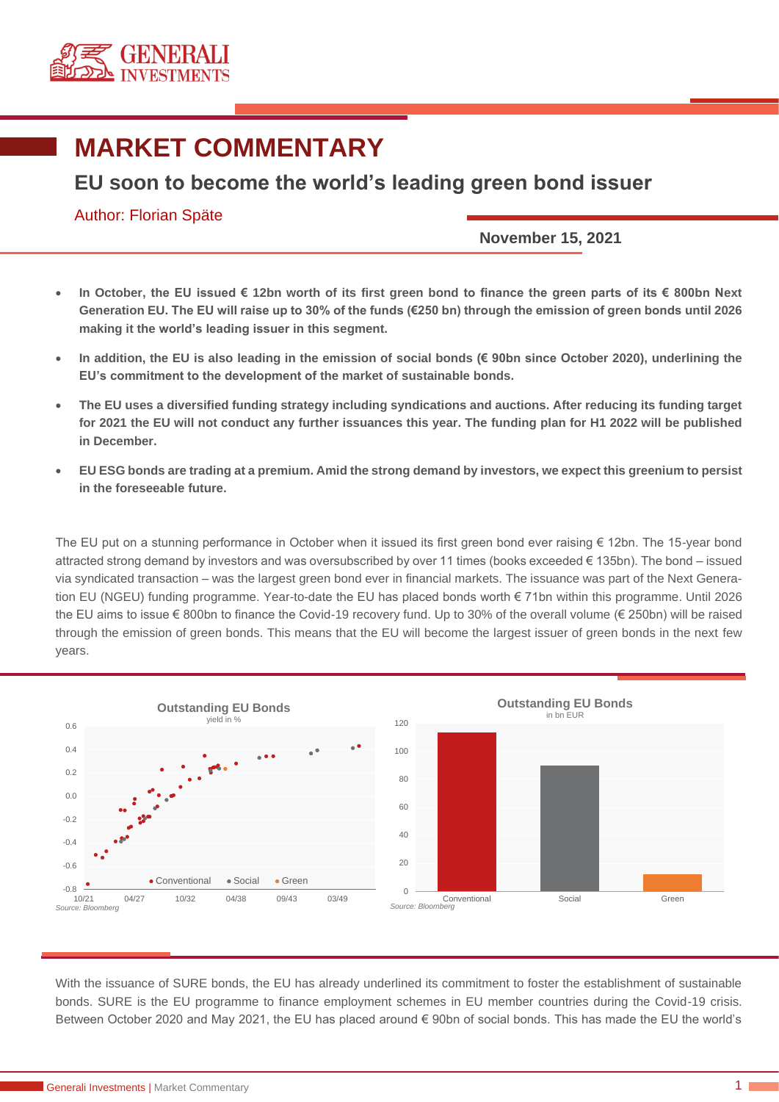

## **MARKET COMMENTARY**

## **EU soon to become the world's leading green bond issuer**

## Author: Florian Späte

**November 15, 2021**

- **In October, the EU issued € 12bn worth of its first green bond to finance the green parts of its € 800bn Next Generation EU. The EU will raise up to 30% of the funds (€250 bn) through the emission of green bonds until 2026 making it the world's leading issuer in this segment.**
- **In addition, the EU is also leading in the emission of social bonds (€ 90bn since October 2020), underlining the EU's commitment to the development of the market of sustainable bonds.**
- **The EU uses a diversified funding strategy including syndications and auctions. After reducing its funding target for 2021 the EU will not conduct any further issuances this year. The funding plan for H1 2022 will be published in December.**
- **EU ESG bonds are trading at a premium. Amid the strong demand by investors, we expect this greenium to persist in the foreseeable future.**

The EU put on a stunning performance in October when it issued its first green bond ever raising € 12bn. The 15-year bond attracted strong demand by investors and was oversubscribed by over 11 times (books exceeded € 135bn). The bond – issued via syndicated transaction – was the largest green bond ever in financial markets. The issuance was part of the Next Generation EU (NGEU) funding programme. Year-to-date the EU has placed bonds worth € 71bn within this programme. Until 2026 the EU aims to issue € 800bn to finance the Covid-19 recovery fund. Up to 30% of the overall volume (€ 250bn) will be raised through the emission of green bonds. This means that the EU will become the largest issuer of green bonds in the next few years.



With the issuance of SURE bonds, the EU has already underlined its commitment to foster the establishment of sustainable bonds. SURE is the EU programme to finance employment schemes in EU member countries during the Covid-19 crisis. Between October 2020 and May 2021, the EU has placed around € 90bn of social bonds. This has made the EU the world's